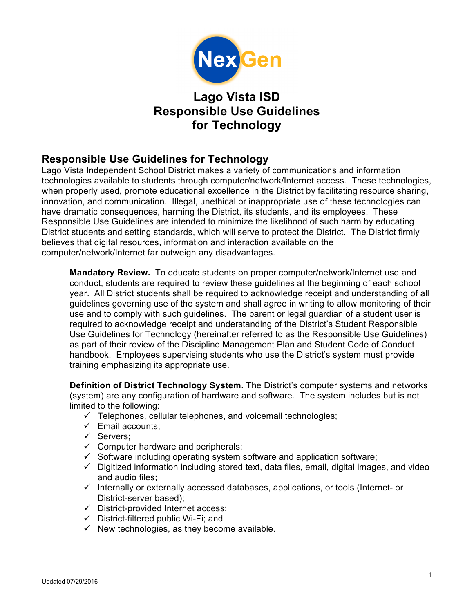

# **Lago Vista ISD Responsible Use Guidelines for Technology**

## **Responsible Use Guidelines for Technology**

Lago Vista Independent School District makes a variety of communications and information technologies available to students through computer/network/Internet access. These technologies, when properly used, promote educational excellence in the District by facilitating resource sharing, innovation, and communication. Illegal, unethical or inappropriate use of these technologies can have dramatic consequences, harming the District, its students, and its employees. These Responsible Use Guidelines are intended to minimize the likelihood of such harm by educating District students and setting standards, which will serve to protect the District. The District firmly believes that digital resources, information and interaction available on the computer/network/Internet far outweigh any disadvantages.

**Mandatory Review.** To educate students on proper computer/network/Internet use and conduct, students are required to review these guidelines at the beginning of each school year. All District students shall be required to acknowledge receipt and understanding of all guidelines governing use of the system and shall agree in writing to allow monitoring of their use and to comply with such guidelines. The parent or legal guardian of a student user is required to acknowledge receipt and understanding of the District's Student Responsible Use Guidelines for Technology (hereinafter referred to as the Responsible Use Guidelines) as part of their review of the Discipline Management Plan and Student Code of Conduct handbook. Employees supervising students who use the District's system must provide training emphasizing its appropriate use.

**Definition of District Technology System.** The District's computer systems and networks (system) are any configuration of hardware and software. The system includes but is not limited to the following:

- $\checkmark$  Telephones, cellular telephones, and voicemail technologies;
- $\checkmark$  Email accounts:
- $\checkmark$  Servers;
- $\checkmark$  Computer hardware and peripherals;
- $\checkmark$  Software including operating system software and application software;
- $\checkmark$  Digitized information including stored text, data files, email, digital images, and video and audio files;
- $\checkmark$  Internally or externally accessed databases, applications, or tools (Internet- or District-server based);
- $\checkmark$  District-provided Internet access:
- $\checkmark$  District-filtered public Wi-Fi; and
- $\checkmark$  New technologies, as they become available.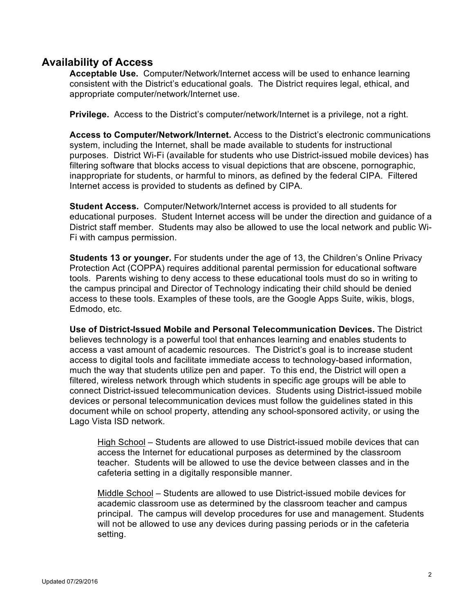#### **Availability of Access**

**Acceptable Use.** Computer/Network/Internet access will be used to enhance learning consistent with the District's educational goals. The District requires legal, ethical, and appropriate computer/network/Internet use.

**Privilege.** Access to the District's computer/network/Internet is a privilege, not a right.

**Access to Computer/Network/Internet.** Access to the District's electronic communications system, including the Internet, shall be made available to students for instructional purposes. District Wi-Fi (available for students who use District-issued mobile devices) has filtering software that blocks access to visual depictions that are obscene, pornographic, inappropriate for students, or harmful to minors, as defined by the federal CIPA. Filtered Internet access is provided to students as defined by CIPA.

**Student Access.** Computer/Network/Internet access is provided to all students for educational purposes. Student Internet access will be under the direction and guidance of a District staff member. Students may also be allowed to use the local network and public Wi-Fi with campus permission.

**Students 13 or younger.** For students under the age of 13, the Children's Online Privacy Protection Act (COPPA) requires additional parental permission for educational software tools. Parents wishing to deny access to these educational tools must do so in writing to the campus principal and Director of Technology indicating their child should be denied access to these tools. Examples of these tools, are the Google Apps Suite, wikis, blogs, Edmodo, etc.

**Use of District-Issued Mobile and Personal Telecommunication Devices.** The District believes technology is a powerful tool that enhances learning and enables students to access a vast amount of academic resources. The District's goal is to increase student access to digital tools and facilitate immediate access to technology-based information, much the way that students utilize pen and paper. To this end, the District will open a filtered, wireless network through which students in specific age groups will be able to connect District-issued telecommunication devices. Students using District-issued mobile devices or personal telecommunication devices must follow the guidelines stated in this document while on school property, attending any school-sponsored activity, or using the Lago Vista ISD network.

High School – Students are allowed to use District-issued mobile devices that can access the Internet for educational purposes as determined by the classroom teacher. Students will be allowed to use the device between classes and in the cafeteria setting in a digitally responsible manner.

Middle School – Students are allowed to use District-issued mobile devices for academic classroom use as determined by the classroom teacher and campus principal. The campus will develop procedures for use and management. Students will not be allowed to use any devices during passing periods or in the cafeteria setting.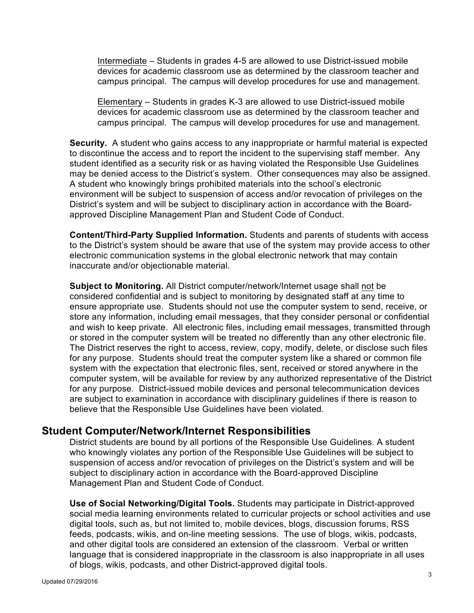Intermediate – Students in grades 4-5 are allowed to use District-issued mobile devices for academic classroom use as determined by the classroom teacher and campus principal. The campus will develop procedures for use and management.

Elementary – Students in grades K-3 are allowed to use District-issued mobile devices for academic classroom use as determined by the classroom teacher and campus principal. The campus will develop procedures for use and management.

**Security.** A student who gains access to any inappropriate or harmful material is expected to discontinue the access and to report the incident to the supervising staff member. Any student identified as a security risk or as having violated the Responsible Use Guidelines may be denied access to the District's system. Other consequences may also be assigned. A student who knowingly brings prohibited materials into the school's electronic environment will be subject to suspension of access and/or revocation of privileges on the District's system and will be subject to disciplinary action in accordance with the Boardapproved Discipline Management Plan and Student Code of Conduct.

**Content/Third-Party Supplied Information.** Students and parents of students with access to the District's system should be aware that use of the system may provide access to other electronic communication systems in the global electronic network that may contain inaccurate and/or objectionable material.

**Subject to Monitoring.** All District computer/network/Internet usage shall not be considered confidential and is subject to monitoring by designated staff at any time to ensure appropriate use. Students should not use the computer system to send, receive, or store any information, including email messages, that they consider personal or confidential and wish to keep private. All electronic files, including email messages, transmitted through or stored in the computer system will be treated no differently than any other electronic file. The District reserves the right to access, review, copy, modify, delete, or disclose such files for any purpose. Students should treat the computer system like a shared or common file system with the expectation that electronic files, sent, received or stored anywhere in the computer system, will be available for review by any authorized representative of the District for any purpose. District-issued mobile devices and personal telecommunication devices are subject to examination in accordance with disciplinary guidelines if there is reason to believe that the Responsible Use Guidelines have been violated.

#### **Student Computer/Network/Internet Responsibilities**

District students are bound by all portions of the Responsible Use Guidelines. A student who knowingly violates any portion of the Responsible Use Guidelines will be subject to suspension of access and/or revocation of privileges on the District's system and will be subject to disciplinary action in accordance with the Board-approved Discipline Management Plan and Student Code of Conduct.

**Use of Social Networking/Digital Tools.** Students may participate in District-approved social media learning environments related to curricular projects or school activities and use digital tools, such as, but not limited to, mobile devices, blogs, discussion forums, RSS feeds, podcasts, wikis, and on-line meeting sessions. The use of blogs, wikis, podcasts, and other digital tools are considered an extension of the classroom. Verbal or written language that is considered inappropriate in the classroom is also inappropriate in all uses of blogs, wikis, podcasts, and other District-approved digital tools.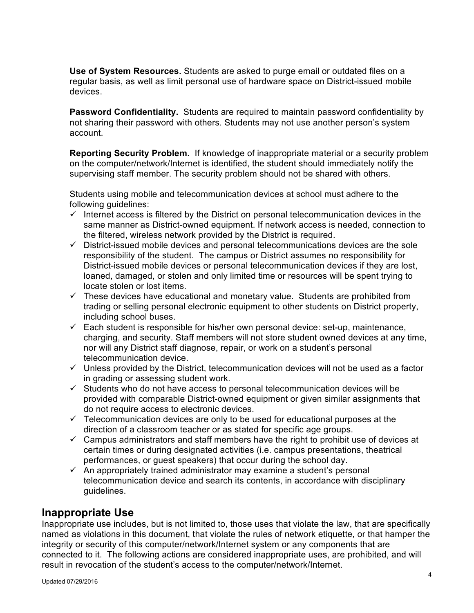**Use of System Resources.** Students are asked to purge email or outdated files on a regular basis, as well as limit personal use of hardware space on District-issued mobile devices.

**Password Confidentiality.** Students are required to maintain password confidentiality by not sharing their password with others. Students may not use another person's system account.

**Reporting Security Problem.** If knowledge of inappropriate material or a security problem on the computer/network/Internet is identified, the student should immediately notify the supervising staff member. The security problem should not be shared with others.

Students using mobile and telecommunication devices at school must adhere to the following guidelines:

- $\checkmark$  Internet access is filtered by the District on personal telecommunication devices in the same manner as District-owned equipment. If network access is needed, connection to the filtered, wireless network provided by the District is required.
- $\checkmark$  District-issued mobile devices and personal telecommunications devices are the sole responsibility of the student. The campus or District assumes no responsibility for District-issued mobile devices or personal telecommunication devices if they are lost, loaned, damaged, or stolen and only limited time or resources will be spent trying to locate stolen or lost items.
- $\checkmark$  These devices have educational and monetary value. Students are prohibited from trading or selling personal electronic equipment to other students on District property, including school buses.
- $\checkmark$  Each student is responsible for his/her own personal device: set-up, maintenance, charging, and security. Staff members will not store student owned devices at any time, nor will any District staff diagnose, repair, or work on a student's personal telecommunication device.
- $\checkmark$  Unless provided by the District, telecommunication devices will not be used as a factor in grading or assessing student work.
- $\checkmark$  Students who do not have access to personal telecommunication devices will be provided with comparable District-owned equipment or given similar assignments that do not require access to electronic devices.
- $\checkmark$  Telecommunication devices are only to be used for educational purposes at the direction of a classroom teacher or as stated for specific age groups.
- $\checkmark$  Campus administrators and staff members have the right to prohibit use of devices at certain times or during designated activities (i.e. campus presentations, theatrical performances, or guest speakers) that occur during the school day.
- $\checkmark$  An appropriately trained administrator may examine a student's personal telecommunication device and search its contents, in accordance with disciplinary guidelines.

### **Inappropriate Use**

Inappropriate use includes, but is not limited to, those uses that violate the law, that are specifically named as violations in this document, that violate the rules of network etiquette, or that hamper the integrity or security of this computer/network/Internet system or any components that are connected to it. The following actions are considered inappropriate uses, are prohibited, and will result in revocation of the student's access to the computer/network/Internet.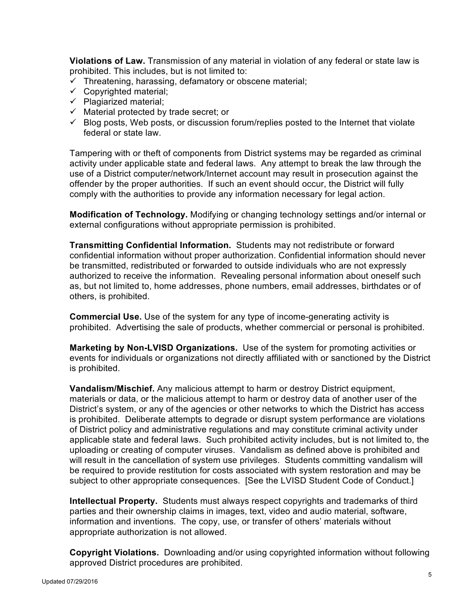**Violations of Law.** Transmission of any material in violation of any federal or state law is prohibited. This includes, but is not limited to:

- $\checkmark$  Threatening, harassing, defamatory or obscene material;
- $\checkmark$  Copyrighted material;
- $\checkmark$  Plagiarized material;
- $\checkmark$  Material protected by trade secret; or
- $\checkmark$  Blog posts, Web posts, or discussion forum/replies posted to the Internet that violate federal or state law.

Tampering with or theft of components from District systems may be regarded as criminal activity under applicable state and federal laws. Any attempt to break the law through the use of a District computer/network/Internet account may result in prosecution against the offender by the proper authorities. If such an event should occur, the District will fully comply with the authorities to provide any information necessary for legal action.

**Modification of Technology.** Modifying or changing technology settings and/or internal or external configurations without appropriate permission is prohibited.

**Transmitting Confidential Information.** Students may not redistribute or forward confidential information without proper authorization. Confidential information should never be transmitted, redistributed or forwarded to outside individuals who are not expressly authorized to receive the information. Revealing personal information about oneself such as, but not limited to, home addresses, phone numbers, email addresses, birthdates or of others, is prohibited.

**Commercial Use.** Use of the system for any type of income-generating activity is prohibited. Advertising the sale of products, whether commercial or personal is prohibited.

**Marketing by Non-LVISD Organizations.** Use of the system for promoting activities or events for individuals or organizations not directly affiliated with or sanctioned by the District is prohibited.

**Vandalism/Mischief.** Any malicious attempt to harm or destroy District equipment, materials or data, or the malicious attempt to harm or destroy data of another user of the District's system, or any of the agencies or other networks to which the District has access is prohibited. Deliberate attempts to degrade or disrupt system performance are violations of District policy and administrative regulations and may constitute criminal activity under applicable state and federal laws. Such prohibited activity includes, but is not limited to, the uploading or creating of computer viruses. Vandalism as defined above is prohibited and will result in the cancellation of system use privileges. Students committing vandalism will be required to provide restitution for costs associated with system restoration and may be subject to other appropriate consequences. [See the LVISD Student Code of Conduct.]

**Intellectual Property.** Students must always respect copyrights and trademarks of third parties and their ownership claims in images, text, video and audio material, software, information and inventions. The copy, use, or transfer of others' materials without appropriate authorization is not allowed.

**Copyright Violations.** Downloading and/or using copyrighted information without following approved District procedures are prohibited.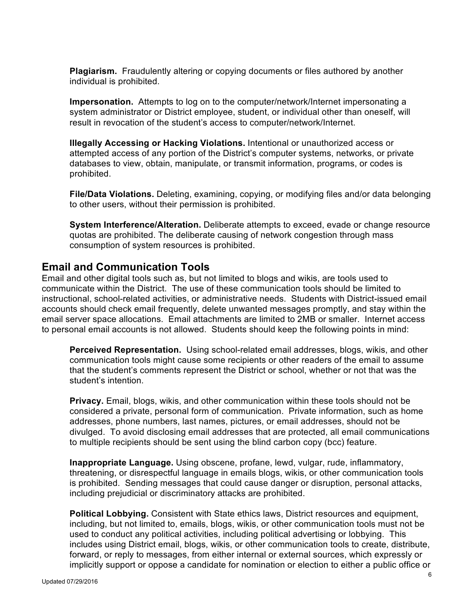**Plagiarism.** Fraudulently altering or copying documents or files authored by another individual is prohibited.

**Impersonation.** Attempts to log on to the computer/network/Internet impersonating a system administrator or District employee, student, or individual other than oneself, will result in revocation of the student's access to computer/network/Internet.

**Illegally Accessing or Hacking Violations.** Intentional or unauthorized access or attempted access of any portion of the District's computer systems, networks, or private databases to view, obtain, manipulate, or transmit information, programs, or codes is prohibited.

**File/Data Violations.** Deleting, examining, copying, or modifying files and/or data belonging to other users, without their permission is prohibited.

**System Interference/Alteration.** Deliberate attempts to exceed, evade or change resource quotas are prohibited. The deliberate causing of network congestion through mass consumption of system resources is prohibited.

#### **Email and Communication Tools**

Email and other digital tools such as, but not limited to blogs and wikis, are tools used to communicate within the District. The use of these communication tools should be limited to instructional, school-related activities, or administrative needs. Students with District-issued email accounts should check email frequently, delete unwanted messages promptly, and stay within the email server space allocations. Email attachments are limited to 2MB or smaller. Internet access to personal email accounts is not allowed. Students should keep the following points in mind:

**Perceived Representation.** Using school-related email addresses, blogs, wikis, and other communication tools might cause some recipients or other readers of the email to assume that the student's comments represent the District or school, whether or not that was the student's intention.

**Privacy.** Email, blogs, wikis, and other communication within these tools should not be considered a private, personal form of communication. Private information, such as home addresses, phone numbers, last names, pictures, or email addresses, should not be divulged. To avoid disclosing email addresses that are protected, all email communications to multiple recipients should be sent using the blind carbon copy (bcc) feature.

**Inappropriate Language.** Using obscene, profane, lewd, vulgar, rude, inflammatory, threatening, or disrespectful language in emails blogs, wikis, or other communication tools is prohibited. Sending messages that could cause danger or disruption, personal attacks, including prejudicial or discriminatory attacks are prohibited.

**Political Lobbying.** Consistent with State ethics laws, District resources and equipment, including, but not limited to, emails, blogs, wikis, or other communication tools must not be used to conduct any political activities, including political advertising or lobbying. This includes using District email, blogs, wikis, or other communication tools to create, distribute, forward, or reply to messages, from either internal or external sources, which expressly or implicitly support or oppose a candidate for nomination or election to either a public office or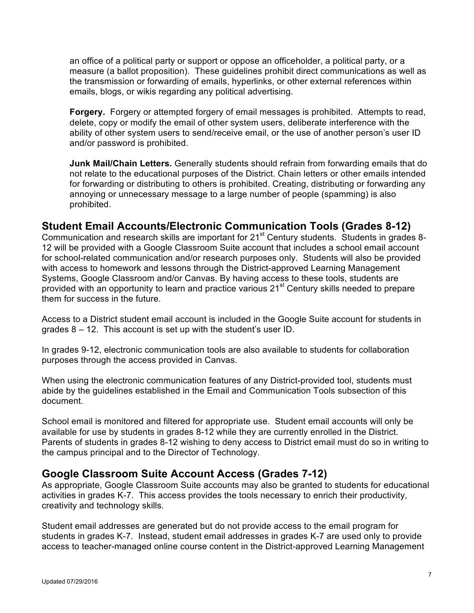an office of a political party or support or oppose an officeholder, a political party, or a measure (a ballot proposition). These guidelines prohibit direct communications as well as the transmission or forwarding of emails, hyperlinks, or other external references within emails, blogs, or wikis regarding any political advertising.

**Forgery.** Forgery or attempted forgery of email messages is prohibited. Attempts to read, delete, copy or modify the email of other system users, deliberate interference with the ability of other system users to send/receive email, or the use of another person's user ID and/or password is prohibited.

**Junk Mail/Chain Letters.** Generally students should refrain from forwarding emails that do not relate to the educational purposes of the District. Chain letters or other emails intended for forwarding or distributing to others is prohibited. Creating, distributing or forwarding any annoying or unnecessary message to a large number of people (spamming) is also prohibited.

### **Student Email Accounts/Electronic Communication Tools (Grades 8-12)**

Communication and research skills are important for 21<sup>st</sup> Century students. Students in grades 8-12 will be provided with a Google Classroom Suite account that includes a school email account for school-related communication and/or research purposes only. Students will also be provided with access to homework and lessons through the District-approved Learning Management Systems, Google Classroom and/or Canvas. By having access to these tools, students are provided with an opportunity to learn and practice various 21<sup>st</sup> Century skills needed to prepare them for success in the future.

Access to a District student email account is included in the Google Suite account for students in grades 8 – 12. This account is set up with the student's user ID.

In grades 9-12, electronic communication tools are also available to students for collaboration purposes through the access provided in Canvas.

When using the electronic communication features of any District-provided tool, students must abide by the guidelines established in the Email and Communication Tools subsection of this document.

School email is monitored and filtered for appropriate use. Student email accounts will only be available for use by students in grades 8-12 while they are currently enrolled in the District. Parents of students in grades 8-12 wishing to deny access to District email must do so in writing to the campus principal and to the Director of Technology.

### **Google Classroom Suite Account Access (Grades 7-12)**

As appropriate, Google Classroom Suite accounts may also be granted to students for educational activities in grades K-7. This access provides the tools necessary to enrich their productivity, creativity and technology skills.

Student email addresses are generated but do not provide access to the email program for students in grades K-7. Instead, student email addresses in grades K-7 are used only to provide access to teacher-managed online course content in the District-approved Learning Management